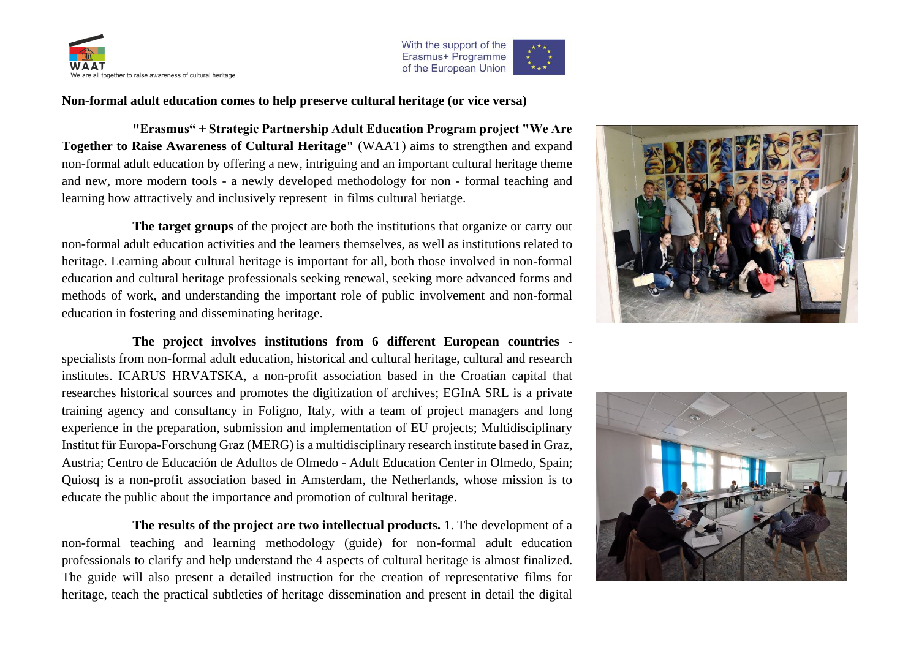



**Non-formal adult education comes to help preserve cultural heritage (or vice versa)**

**"Erasmus" + Strategic Partnership Adult Education Program project "We Are Together to Raise Awareness of Cultural Heritage"** (WAAT) aims to strengthen and expand non-formal adult education by offering a new, intriguing and an important cultural heritage theme and new, more modern tools - a newly developed methodology for non - formal teaching and learning how attractively and inclusively represent in films cultural heriatge.

**The target groups** of the project are both the institutions that organize or carry out non-formal adult education activities and the learners themselves, as well as institutions related to heritage. Learning about cultural heritage is important for all, both those involved in non-formal education and cultural heritage professionals seeking renewal, seeking more advanced forms and methods of work, and understanding the important role of public involvement and non-formal education in fostering and disseminating heritage.

**The project involves institutions from 6 different European countries** specialists from non-formal adult education, historical and cultural heritage, cultural and research institutes. ICARUS HRVATSKA, a non-profit association based in the Croatian capital that researches historical sources and promotes the digitization of archives; EGInA SRL is a private training agency and consultancy in Foligno, Italy, with a team of project managers and long experience in the preparation, submission and implementation of EU projects; Multidisciplinary Institut für Europa-Forschung Graz (MERG) is a multidisciplinary research institute based in Graz, Austria; Centro de Educación de Adultos de Olmedo - Adult Education Center in Olmedo, Spain; Quiosq is a non-profit association based in Amsterdam, the Netherlands, whose mission is to educate the public about the importance and promotion of cultural heritage.

**The results of the project are two intellectual products.** 1. The development of a non-formal teaching and learning methodology (guide) for non-formal adult education professionals to clarify and help understand the 4 aspects of cultural heritage is almost finalized. The guide will also present a detailed instruction for the creation of representative films for heritage, teach the practical subtleties of heritage dissemination and present in detail the digital



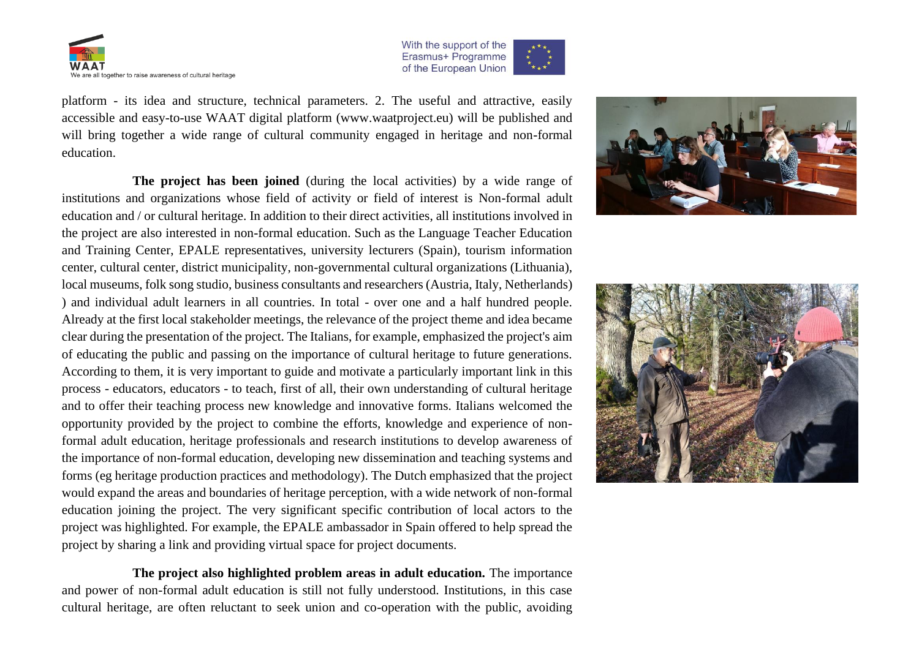



platform - its idea and structure, technical parameters. 2. The useful and attractive, easily accessible and easy-to-use WAAT digital platform (www.waatproject.eu) will be published and will bring together a wide range of cultural community engaged in heritage and non-formal education.

**The project has been joined** (during the local activities) by a wide range of institutions and organizations whose field of activity or field of interest is Non-formal adult education and / or cultural heritage. In addition to their direct activities, all institutions involved in the project are also interested in non-formal education. Such as the Language Teacher Education and Training Center, EPALE representatives, university lecturers (Spain), tourism information center, cultural center, district municipality, non-governmental cultural organizations (Lithuania), local museums, folk song studio, business consultants and researchers (Austria, Italy, Netherlands) ) and individual adult learners in all countries. In total - over one and a half hundred people. Already at the first local stakeholder meetings, the relevance of the project theme and idea became clear during the presentation of the project. The Italians, for example, emphasized the project's aim of educating the public and passing on the importance of cultural heritage to future generations. According to them, it is very important to guide and motivate a particularly important link in this process - educators, educators - to teach, first of all, their own understanding of cultural heritage and to offer their teaching process new knowledge and innovative forms. Italians welcomed the opportunity provided by the project to combine the efforts, knowledge and experience of nonformal adult education, heritage professionals and research institutions to develop awareness of the importance of non-formal education, developing new dissemination and teaching systems and forms (eg heritage production practices and methodology). The Dutch emphasized that the project would expand the areas and boundaries of heritage perception, with a wide network of non-formal education joining the project. The very significant specific contribution of local actors to the project was highlighted. For example, the EPALE ambassador in Spain offered to help spread the project by sharing a link and providing virtual space for project documents.

**The project also highlighted problem areas in adult education.** The importance and power of non-formal adult education is still not fully understood. Institutions, in this case cultural heritage, are often reluctant to seek union and co-operation with the public, avoiding



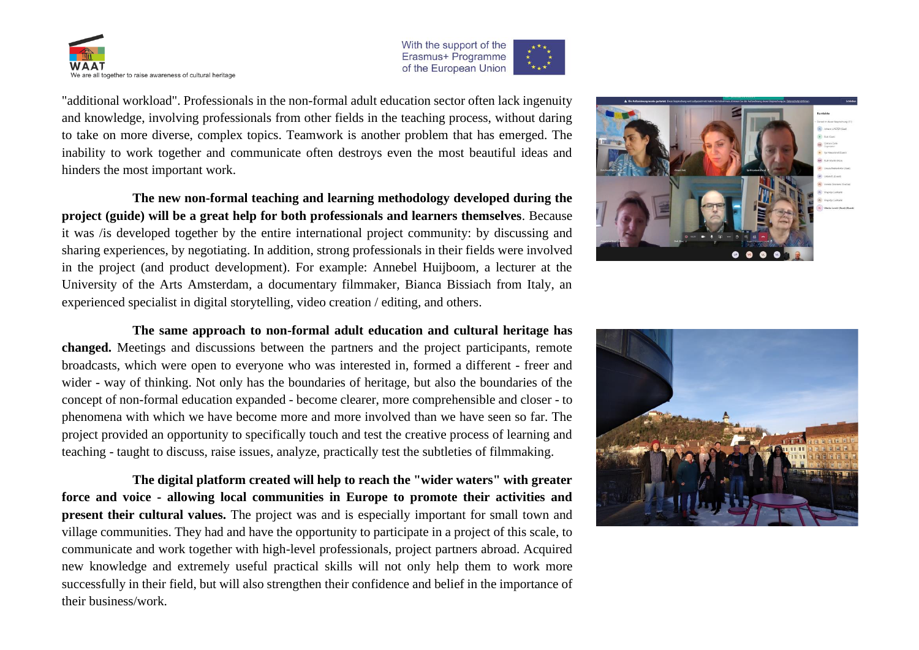



"additional workload". Professionals in the non-formal adult education sector often lack ingenuity and knowledge, involving professionals from other fields in the teaching process, without daring to take on more diverse, complex topics. Teamwork is another problem that has emerged. The inability to work together and communicate often destroys even the most beautiful ideas and hinders the most important work.

**The new non-formal teaching and learning methodology developed during the project (guide) will be a great help for both professionals and learners themselves**. Because it was /is developed together by the entire international project community: by discussing and sharing experiences, by negotiating. In addition, strong professionals in their fields were involved in the project (and product development). For example: Annebel Huijboom, a lecturer at the University of the Arts Amsterdam, a documentary filmmaker, Bianca Bissiach from Italy, an experienced specialist in digital storytelling, video creation / editing, and others.



**The digital platform created will help to reach the "wider waters" with greater force and voice - allowing local communities in Europe to promote their activities and present their cultural values.** The project was and is especially important for small town and village communities. They had and have the opportunity to participate in a project of this scale, to communicate and work together with high-level professionals, project partners abroad. Acquired new knowledge and extremely useful practical skills will not only help them to work more successfully in their field, but will also strengthen their confidence and belief in the importance of their business/work.